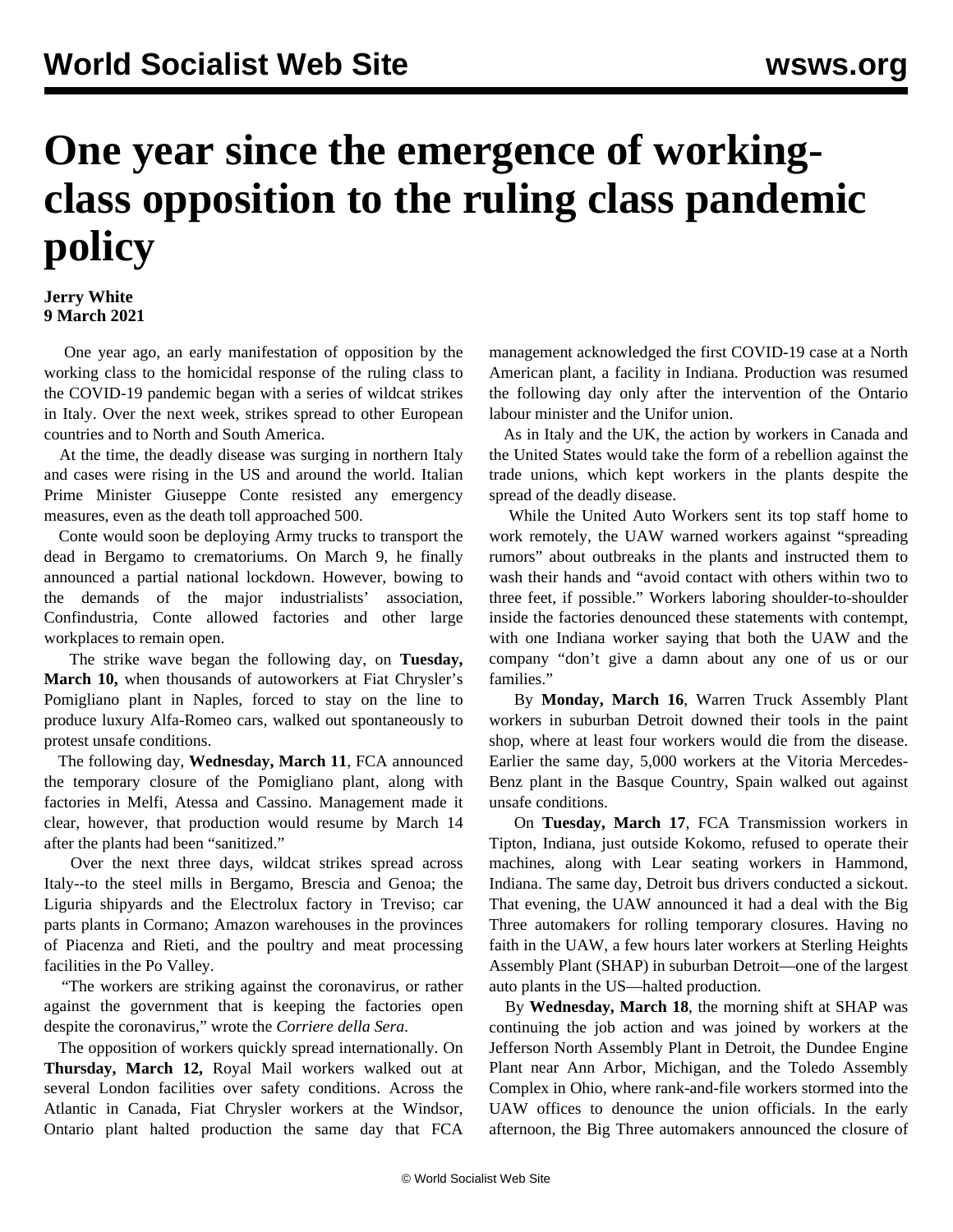## **One year since the emergence of workingclass opposition to the ruling class pandemic policy**

## **Jerry White 9 March 2021**

 One year ago, an early manifestation of opposition by the working class to the homicidal response of the ruling class to the COVID-19 pandemic began with a series of wildcat strikes in Italy. Over the next week, strikes spread to other European countries and to North and South America.

 At the time, the deadly disease was surging in northern Italy and cases were rising in the US and around the world. Italian Prime Minister Giuseppe Conte resisted any emergency measures, even as the death toll approached 500.

 Conte would soon be deploying Army trucks to transport the dead in Bergamo to crematoriums. On March 9, he finally announced a partial national lockdown. However, bowing to the demands of the major industrialists' association, Confindustria, Conte allowed factories and other large workplaces to remain open.

 The strike wave began the following day, on **Tuesday, March 10,** when thousands of autoworkers at Fiat Chrysler's Pomigliano plant in Naples, forced to stay on the line to produce luxury Alfa-Romeo cars, walked out spontaneously to protest unsafe conditions.

 The following day, **Wednesday, March 11**, FCA announced the temporary closure of the Pomigliano plant, along with factories in Melfi, Atessa and Cassino. Management made it clear, however, that production would resume by March 14 after the plants had been "sanitized."

 Over the next three days, wildcat strikes spread across Italy--to the steel mills in Bergamo, Brescia and Genoa; the Liguria shipyards and the Electrolux factory in Treviso; car parts plants in Cormano; Amazon warehouses in the provinces of Piacenza and Rieti, and the poultry and meat processing facilities in the Po Valley.

 "The workers are striking against the coronavirus, or rather against the government that is keeping the factories open despite the coronavirus," wrote the *Corriere della Sera*.

 The opposition of workers quickly spread internationally. On **Thursday, March 12,** Royal Mail workers walked out at several London facilities over safety conditions. Across the Atlantic in Canada, Fiat Chrysler workers at the Windsor, Ontario plant halted production the same day that FCA

management acknowledged the first COVID-19 case at a North American plant, a facility in Indiana. Production was resumed the following day only after the intervention of the Ontario labour minister and the Unifor union.

 As in Italy and the UK, the action by workers in Canada and the United States would take the form of a rebellion against the trade unions, which kept workers in the plants despite the spread of the deadly disease.

 While the United Auto Workers sent its top staff home to work remotely, the UAW warned workers against "spreading rumors" about outbreaks in the plants and instructed them to wash their hands and "avoid contact with others within two to three feet, if possible." Workers laboring shoulder-to-shoulder inside the factories denounced these statements with contempt, with one Indiana worker saying that both the UAW and the company "don't give a damn about any one of us or our families."

 By **Monday, March 16**, Warren Truck Assembly Plant workers in suburban Detroit downed their tools in the paint shop, where at least four workers would die from the disease. Earlier the same day, 5,000 workers at the Vitoria Mercedes-Benz plant in the Basque Country, Spain walked out against unsafe conditions.

 On **Tuesday, March 17**, FCA Transmission workers in Tipton, Indiana, just outside Kokomo, refused to operate their machines, along with Lear seating workers in Hammond, Indiana. The same day, Detroit bus drivers conducted a sickout. That evening, the UAW announced it had a deal with the Big Three automakers for rolling temporary closures. Having no faith in the UAW, a few hours later workers at Sterling Heights Assembly Plant (SHAP) in suburban Detroit—one of the largest auto plants in the US—halted production.

 By **Wednesday, March 18**, the morning shift at SHAP was continuing the job action and was [joined](/en/articles/2020/03/19/auto-m19.html) by workers at the Jefferson North Assembly Plant in Detroit, the Dundee Engine Plant near Ann Arbor, Michigan, and the Toledo Assembly Complex in Ohio, where rank-and-file workers stormed into the UAW offices to denounce the union officials. In the early afternoon, the Big Three automakers announced the closure of